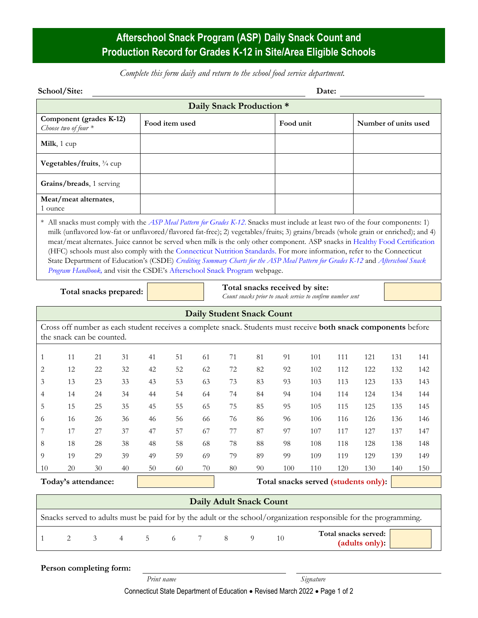## **Afterschool Snack Program (ASP) Daily Snack Count and Production Record for Grades K-12 in Site/Area Eligible Schools**

*Complete this form daily and return to the school food service department.*

| School/Site: | Date: |
|--------------|-------|
|--------------|-------|

| Daily Snack Production *                          |                |           |                      |  |  |  |  |  |  |
|---------------------------------------------------|----------------|-----------|----------------------|--|--|--|--|--|--|
| Component (grades K-12)<br>Choose two of four $*$ | Food item used | Food unit | Number of units used |  |  |  |  |  |  |
| <b>Milk</b> , $1 \text{ cup}$                     |                |           |                      |  |  |  |  |  |  |
| <b>Vegetables/fruits</b> , $\frac{3}{4}$ cup      |                |           |                      |  |  |  |  |  |  |
| Grains/breads, 1 serving                          |                |           |                      |  |  |  |  |  |  |
| Meat/meat alternates,<br>1 ounce                  |                |           |                      |  |  |  |  |  |  |

All snacks must comply with the *[ASP Meal Pattern for Grades K-12](https://portal.ct.gov/-/media/SDE/Nutrition/ASP/Meal_Pattern_ASP_grades_K-12.pdf)*. Snacks must include at least two of the four components: 1) milk (unflavored low-fat or unflavored/flavored fat-free); 2) vegetables/fruits; 3) grains/breads (whole grain or enriched); and 4) meat/meat alternates. Juice cannot be served when milk is the only other component. ASP snacks i[n Healthy Food Certification](https://portal.ct.gov/SDE/Nutrition/Healthy-Food-Certification) (HFC) schools must also comply with the [Connecticut Nutrition Standards.](https://portal.ct.gov/SDE/Nutrition/Connecticut-Nutrition-Standards) For more information, refer to the Connecticut State Department of Education's (CSDE) *[Crediting Summary Charts for the ASP Meal Pattern for Grades K-12](https://portal.ct.gov/-/media/SDE/Nutrition/ASP/Crediting_Summary_Charts_ASP_Grades_K-12.pdf)* and *[Afterschool Snack](https://portal.ct.gov/-/media/SDE/Nutrition/ASP/ASP_Handbook.pdf)  [Program Handbook,](https://portal.ct.gov/-/media/SDE/Nutrition/ASP/ASP_Handbook.pdf)* and visit the CSDE's [Afterschool Snack Program](http://portal.ct.gov/SDE/Nutrition/Afterschool-Snack-Program) webpage.

**Total snacks prepared:**

**Total snacks received by site:**

| Total shacks received by shee.                             |  |  |
|------------------------------------------------------------|--|--|
| Count snacks prior to snack service to confirm number sent |  |  |

| <b>Daily Student Snack Count</b>                                                                                                                   |    |    |    |    |    |    |    |    |     |     |     |     |     |     |
|----------------------------------------------------------------------------------------------------------------------------------------------------|----|----|----|----|----|----|----|----|-----|-----|-----|-----|-----|-----|
| Cross off number as each student receives a complete snack. Students must receive <b>both snack components</b> before<br>the snack can be counted. |    |    |    |    |    |    |    |    |     |     |     |     |     |     |
|                                                                                                                                                    | 11 | 21 | 31 | 41 | 51 | 61 | 71 | 81 | 91  | 101 | 111 | 121 | 131 | 141 |
| $\overline{2}$                                                                                                                                     | 12 | 22 | 32 | 42 | 52 | 62 | 72 | 82 | 92  | 102 | 112 | 122 | 132 | 142 |
| 3                                                                                                                                                  | 13 | 23 | 33 | 43 | 53 | 63 | 73 | 83 | 93  | 103 | 113 | 123 | 133 | 143 |
| 4                                                                                                                                                  | 14 | 24 | 34 | 44 | 54 | 64 | 74 | 84 | 94  | 104 | 114 | 124 | 134 | 144 |
| 5                                                                                                                                                  | 15 | 25 | 35 | 45 | 55 | 65 | 75 | 85 | 95  | 105 | 115 | 125 | 135 | 145 |
| 6                                                                                                                                                  | 16 | 26 | 36 | 46 | 56 | 66 | 76 | 86 | 96  | 106 | 116 | 126 | 136 | 146 |
| 7                                                                                                                                                  | 17 | 27 | 37 | 47 | 57 | 67 | 77 | 87 | 97  | 107 | 117 | 127 | 137 | 147 |
| 8                                                                                                                                                  | 18 | 28 | 38 | 48 | 58 | 68 | 78 | 88 | 98  | 108 | 118 | 128 | 138 | 148 |
| 9                                                                                                                                                  | 19 | 29 | 39 | 49 | 59 | 69 | 79 | 89 | 99  | 109 | 119 | 129 | 139 | 149 |
| 10                                                                                                                                                 | 20 | 30 | 40 | 50 | 60 | 70 | 80 | 90 | 100 | 110 | 120 | 130 | 140 | 150 |
| Today's attendance:<br>Total snacks served (students only):                                                                                        |    |    |    |    |    |    |    |    |     |     |     |     |     |     |

**Daily Adult Snack Count** Snacks served to adults must be paid for by the adult or the school/organization responsible for the programming. <sup>1</sup> <sup>2</sup> <sup>3</sup> <sup>4</sup> <sup>5</sup> <sup>6</sup> <sup>7</sup> <sup>8</sup> <sup>9</sup> <sup>10</sup> **Total snacks served: (adults only):**

**Person completing form:**

Connecticut State Department of Education • Revised March 2022 • Page 1 of 2